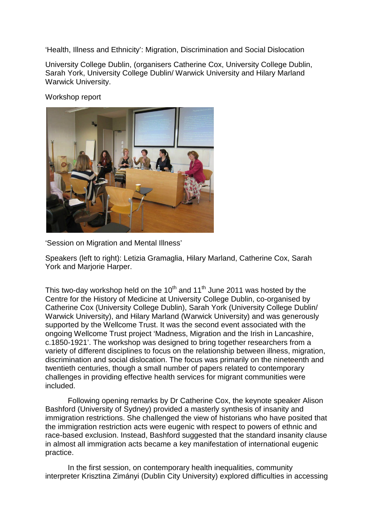'Health, Illness and Ethnicity': Migration, Discrimination and Social Dislocation

University College Dublin, (organisers Catherine Cox, University College Dublin, Sarah York, University College Dublin/ Warwick University and Hilary Marland Warwick University.

Workshop report



'Session on Migration and Mental Illness'

Speakers (left to right): Letizia Gramaglia, Hilary Marland, Catherine Cox, Sarah York and Marjorie Harper.

This two-day workshop held on the 10<sup>th</sup> and 11<sup>th</sup> June 2011 was hosted by the Centre for the History of Medicine at University College Dublin, co-organised by Catherine Cox (University College Dublin), Sarah York (University College Dublin/ Warwick University), and Hilary Marland (Warwick University) and was generously supported by the Wellcome Trust. It was the second event associated with the ongoing Wellcome Trust project 'Madness, Migration and the Irish in Lancashire, c.1850-1921'. The workshop was designed to bring together researchers from a variety of different disciplines to focus on the relationship between illness, migration, discrimination and social dislocation. The focus was primarily on the nineteenth and twentieth centuries, though a small number of papers related to contemporary challenges in providing effective health services for migrant communities were included.

Following opening remarks by Dr Catherine Cox, the keynote speaker Alison Bashford (University of Sydney) provided a masterly synthesis of insanity and immigration restrictions. She challenged the view of historians who have posited that the immigration restriction acts were eugenic with respect to powers of ethnic and race-based exclusion. Instead, Bashford suggested that the standard insanity clause in almost all immigration acts became a key manifestation of international eugenic practice.

In the first session, on contemporary health inequalities, community interpreter Krisztina Zimányi (Dublin City University) explored difficulties in accessing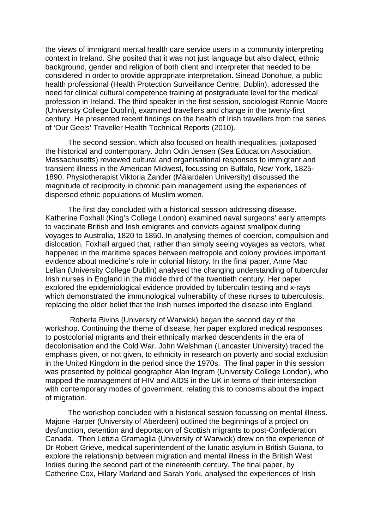the views of immigrant mental health care service users in a community interpreting context in Ireland. She posited that it was not just language but also dialect, ethnic background, gender and religion of both client and interpreter that needed to be considered in order to provide appropriate interpretation. Sinead Donohue, a public health professional (Health Protection Surveillance Centre, Dublin), addressed the need for clinical cultural competence training at postgraduate level for the medical profession in Ireland. The third speaker in the first session, sociologist Ronnie Moore (University College Dublin), examined travellers and change in the twenty-first century. He presented recent findings on the health of Irish travellers from the series of 'Our Geels' Traveller Health Technical Reports (2010).

The second session, which also focused on health inequalities, juxtaposed the historical and contemporary. John Odin Jensen (Sea Education Association, Massachusetts) reviewed cultural and organisational responses to immigrant and transient illness in the American Midwest, focussing on Buffalo, New York, 1825- 1890. Physiotherapist Viktoria Zander (Mälardalen University) discussed the magnitude of reciprocity in chronic pain management using the experiences of dispersed ethnic populations of Muslim women.

The first day concluded with a historical session addressing disease. Katherine Foxhall (King's College London) examined naval surgeons' early attempts to vaccinate British and Irish emigrants and convicts against smallpox during voyages to Australia, 1820 to 1850. In analysing themes of coercion, compulsion and dislocation, Foxhall argued that, rather than simply seeing voyages as vectors, what happened in the maritime spaces between metropole and colony provides important evidence about medicine's role in colonial history. In the final paper, Anne Mac Lellan (University College Dublin) analysed the changing understanding of tubercular Irish nurses in England in the middle third of the twentieth century. Her paper explored the epidemiological evidence provided by tuberculin testing and x-rays which demonstrated the immunological vulnerability of these nurses to tuberculosis, replacing the older belief that the Irish nurses imported the disease into England.

Roberta Bivins (University of Warwick) began the second day of the workshop. Continuing the theme of disease, her paper explored medical responses to postcolonial migrants and their ethnically marked descendents in the era of decolonisation and the Cold War. John Welshman (Lancaster University) traced the emphasis given, or not given, to ethnicity in research on poverty and social exclusion in the United Kingdom in the period since the 1970s. The final paper in this session was presented by political geographer Alan Ingram (University College London), who mapped the management of HIV and AIDS in the UK in terms of their intersection with contemporary modes of government, relating this to concerns about the impact of migration.

The workshop concluded with a historical session focussing on mental illness. Majorie Harper (University of Aberdeen) outlined the beginnings of a project on dysfunction, detention and deportation of Scottish migrants to post-Confederation Canada. Then Letizia Gramaglia (University of Warwick) drew on the experience of Dr Robert Grieve, medical superintendent of the lunatic asylum in British Guiana, to explore the relationship between migration and mental illness in the British West Indies during the second part of the nineteenth century. The final paper, by Catherine Cox, Hilary Marland and Sarah York, analysed the experiences of Irish